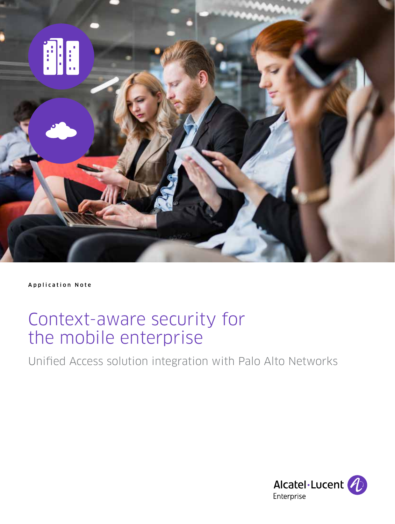

Application Note

# Context-aware security for the mobile enterprise

Unified Access solution integration with Palo Alto Networks

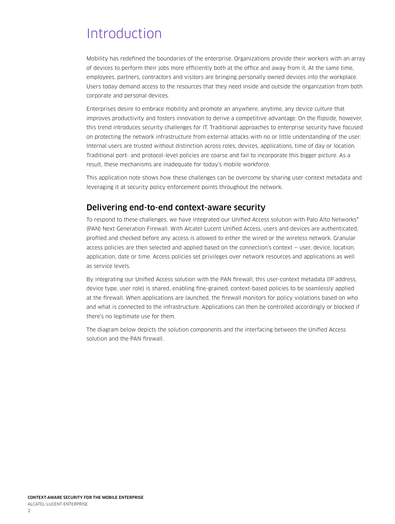## **Introduction**

Mobility has redefined the boundaries of the enterprise. Organizations provide their workers with an array of devices to perform their jobs more efficiently both at the office and away from it. At the same time, employees, partners, contractors and visitors are bringing personally owned devices into the workplace. Users today demand access to the resources that they need inside and outside the organization from both corporate and personal devices.

Enterprises desire to embrace mobility and promote an anywhere, anytime, any device culture that improves productivity and fosters innovation to derive a competitive advantage. On the flipside, however, this trend introduces security challenges for IT. Traditional approaches to enterprise security have focused on protecting the network infrastructure from external attacks with no or little understanding of the user: Internal users are trusted without distinction across roles, devices, applications, time of day or location. Traditional port- and protocol-level policies are coarse and fail to incorporate this bigger picture. As a result, these mechanisms are inadequate for today's mobile workforce.

This application note shows how these challenges can be overcome by sharing user-context metadata and leveraging it at security policy enforcement points throughout the network.

### Delivering end-to-end context-aware security

To respond to these challenges, we have integrated our Unified Access solution with Palo Alto Networks® (PAN) Next-Generation Firewall. With Alcatel-Lucent Unified Access, users and devices are authenticated, profiled and checked before any access is allowed to either the wired or the wireless network. Granular access policies are then selected and applied based on the connection's context — user, device, location, application, date or time. Access policies set privileges over network resources and applications as well as service levels.

By integrating our Unified Access solution with the PAN firewall, this user-context metadata (IP address, device type, user role) is shared, enabling fine-grained, context-based policies to be seamlessly applied at the firewall. When applications are launched, the firewall monitors for policy violations based on who and what is connected to the infrastructure. Applications can then be controlled accordingly or blocked if there's no legitimate use for them.

The diagram below depicts the solution components and the interfacing between the Unified Access solution and the PAN firewall.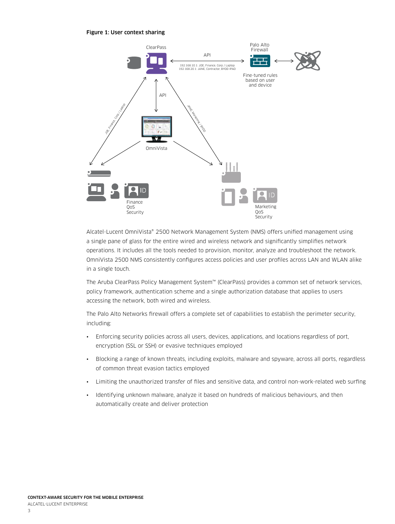Figure 1: User context sharing



Alcatel-Lucent OmniVista® 2500 Network Management System (NMS) offers unified management using a single pane of glass for the entire wired and wireless network and significantly simplifies network operations. It includes all the tools needed to provision, monitor, analyze and troubleshoot the network. OmniVista 2500 NMS consistently configures access policies and user profiles across LAN and WLAN alike in a single touch.

The Aruba ClearPass Policy Management System™ (ClearPass) provides a common set of network services, policy framework, authentication scheme and a single authorization database that applies to users accessing the network, both wired and wireless.

The Palo Alto Networks firewall offers a complete set of capabilities to establish the perimeter security, including:

- Enforcing security policies across all users, devices, applications, and locations regardless of port, encryption (SSL or SSH) or evasive techniques employed
- Blocking a range of known threats, including exploits, malware and spyware, across all ports, regardless of common threat evasion tactics employed
- Limiting the unauthorized transfer of files and sensitive data, and control non-work-related web surfing
- Identifying unknown malware, analyze it based on hundreds of malicious behaviours, and then automatically create and deliver protection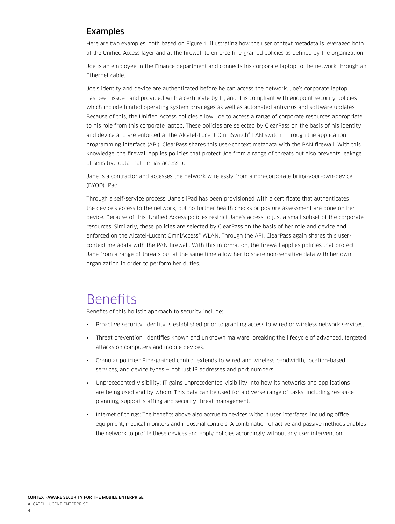#### Examples

Here are two examples, both based on Figure 1, illustrating how the user context metadata is leveraged both at the Unified Access layer and at the firewall to enforce fine-grained policies as defined by the organization.

Joe is an employee in the Finance department and connects his corporate laptop to the network through an Ethernet cable.

Joe's identity and device are authenticated before he can access the network. Joe's corporate laptop has been issued and provided with a certificate by IT, and it is compliant with endpoint security policies which include limited operating system privileges as well as automated antivirus and software updates. Because of this, the Unified Access policies allow Joe to access a range of corporate resources appropriate to his role from this corporate laptop. These policies are selected by ClearPass on the basis of his identity and device and are enforced at the Alcatel-Lucent OmniSwitch® LAN switch. Through the application programming interface (API), ClearPass shares this user-context metadata with the PAN firewall. With this knowledge, the firewall applies policies that protect Joe from a range of threats but also prevents leakage of sensitive data that he has access to.

Jane is a contractor and accesses the network wirelessly from a non-corporate bring-your-own-device (BYOD) iPad.

Through a self-service process, Jane's iPad has been provisioned with a certificate that authenticates the device's access to the network, but no further health checks or posture assessment are done on her device. Because of this, Unified Access policies restrict Jane's access to just a small subset of the corporate resources. Similarly, these policies are selected by ClearPass on the basis of her role and device and enforced on the Alcatel-Lucent OmniAccess® WLAN. Through the API, ClearPass again shares this usercontext metadata with the PAN firewall. With this information, the firewall applies policies that protect Jane from a range of threats but at the same time allow her to share non-sensitive data with her own organization in order to perform her duties.

### **Benefits**

Benefits of this holistic approach to security include:

- Proactive security: Identity is established prior to granting access to wired or wireless network services.
- Threat prevention: Identifies known and unknown malware, breaking the lifecycle of advanced, targeted attacks on computers and mobile devices.
- Granular policies: Fine-grained control extends to wired and wireless bandwidth, location-based services, and device types — not just IP addresses and port numbers.
- Unprecedented visibility: IT gains unprecedented visibility into how its networks and applications are being used and by whom. This data can be used for a diverse range of tasks, including resource planning, support staffing and security threat management.
- Internet of things: The benefits above also accrue to devices without user interfaces, including office equipment, medical monitors and industrial controls. A combination of active and passive methods enables the network to profile these devices and apply policies accordingly without any user intervention.